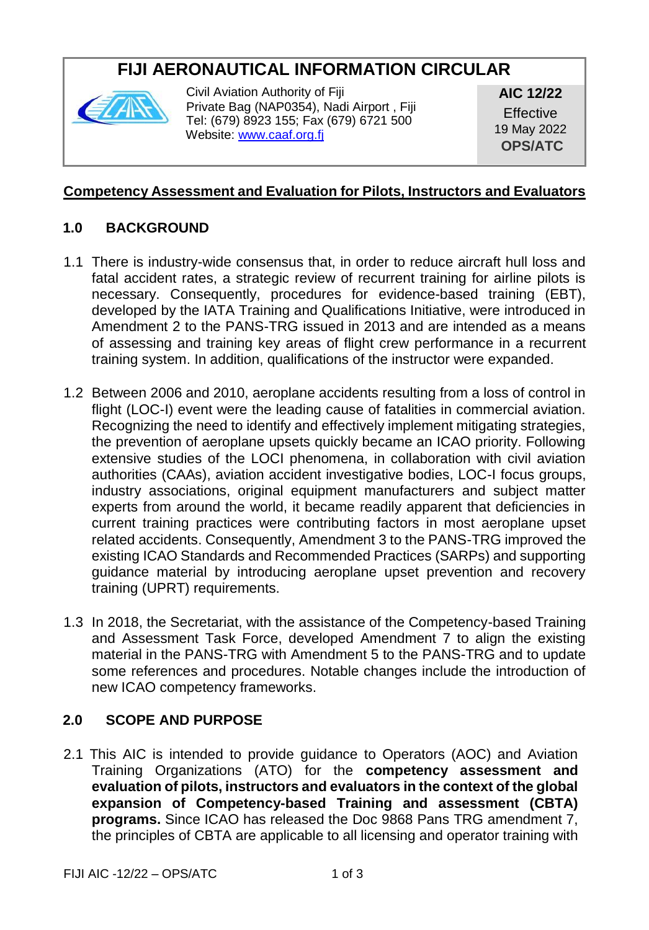# **FIJI AERONAUTICAL INFORMATION CIRCULAR**



Civil Aviation Authority of Fiji Private Bag (NAP0354), Nadi Airport , Fiji Tel: (679) 8923 155; Fax (679) 6721 500 Websit[e: www.caaf.org.fj](http://www.caaf.org.fj/)

**AIC 12/22 Effective** 19 May 2022 **OPS/ATC** 

#### **Competency Assessment and Evaluation for Pilots, Instructors and Evaluators**

## **1.0 BACKGROUND**

- 1.1 There is industry-wide consensus that, in order to reduce aircraft hull loss and fatal accident rates, a strategic review of recurrent training for airline pilots is necessary. Consequently, procedures for evidence-based training (EBT), developed by the IATA Training and Qualifications Initiative, were introduced in Amendment 2 to the PANS-TRG issued in 2013 and are intended as a means of assessing and training key areas of flight crew performance in a recurrent training system. In addition, qualifications of the instructor were expanded.
- 1.2 Between 2006 and 2010, aeroplane accidents resulting from a loss of control in flight (LOC-I) event were the leading cause of fatalities in commercial aviation. Recognizing the need to identify and effectively implement mitigating strategies, the prevention of aeroplane upsets quickly became an ICAO priority. Following extensive studies of the LOCI phenomena, in collaboration with civil aviation authorities (CAAs), aviation accident investigative bodies, LOC-I focus groups, industry associations, original equipment manufacturers and subject matter experts from around the world, it became readily apparent that deficiencies in current training practices were contributing factors in most aeroplane upset related accidents. Consequently, Amendment 3 to the PANS-TRG improved the existing ICAO Standards and Recommended Practices (SARPs) and supporting guidance material by introducing aeroplane upset prevention and recovery training (UPRT) requirements.
- 1.3 In 2018, the Secretariat, with the assistance of the Competency-based Training and Assessment Task Force, developed Amendment 7 to align the existing material in the PANS-TRG with Amendment 5 to the PANS-TRG and to update some references and procedures. Notable changes include the introduction of new ICAO competency frameworks.

#### **2.0 SCOPE AND PURPOSE**

2.1 This AIC is intended to provide guidance to Operators (AOC) and Aviation Training Organizations (ATO) for the **competency assessment and evaluation of pilots, instructors and evaluators in the context of the global expansion of Competency-based Training and assessment (CBTA) programs.** Since ICAO has released the Doc 9868 Pans TRG amendment 7, the principles of CBTA are applicable to all licensing and operator training with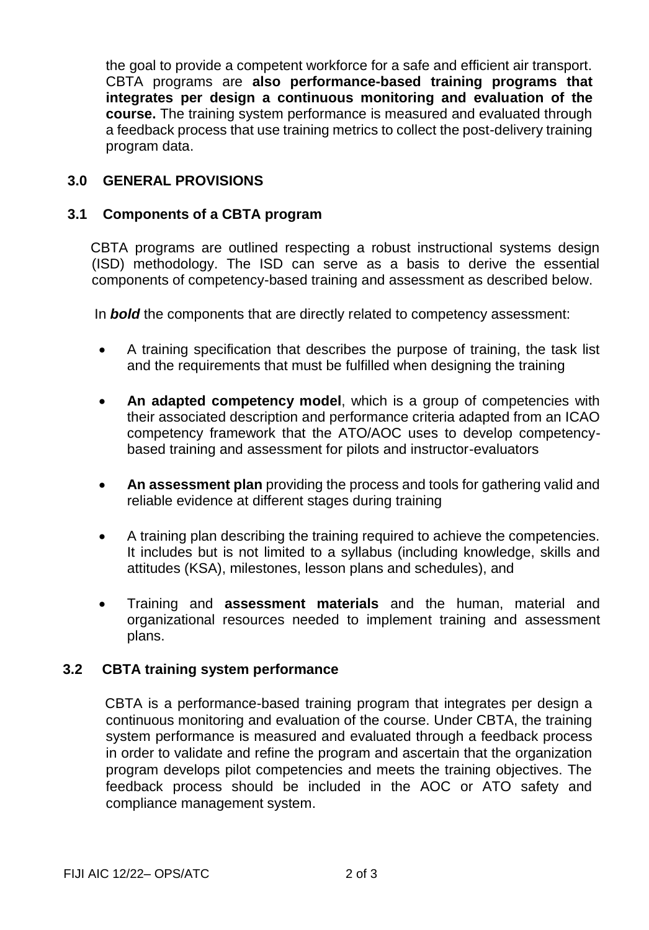the goal to provide a competent workforce for a safe and efficient air transport. CBTA programs are **also performance-based training programs that integrates per design a continuous monitoring and evaluation of the course.** The training system performance is measured and evaluated through a feedback process that use training metrics to collect the post-delivery training program data.

### **3.0 GENERAL PROVISIONS**

#### **3.1 Components of a CBTA program**

 CBTA programs are outlined respecting a robust instructional systems design (ISD) methodology. The ISD can serve as a basis to derive the essential components of competency-based training and assessment as described below.

In *bold* the components that are directly related to competency assessment:

- A training specification that describes the purpose of training, the task list and the requirements that must be fulfilled when designing the training
- **An adapted competency model**, which is a group of competencies with their associated description and performance criteria adapted from an ICAO competency framework that the ATO/AOC uses to develop competencybased training and assessment for pilots and instructor-evaluators
- **An assessment plan** providing the process and tools for gathering valid and reliable evidence at different stages during training
- A training plan describing the training required to achieve the competencies. It includes but is not limited to a syllabus (including knowledge, skills and attitudes (KSA), milestones, lesson plans and schedules), and
- Training and **assessment materials** and the human, material and organizational resources needed to implement training and assessment plans.

#### **3.2 CBTA training system performance**

CBTA is a performance-based training program that integrates per design a continuous monitoring and evaluation of the course. Under CBTA, the training system performance is measured and evaluated through a feedback process in order to validate and refine the program and ascertain that the organization program develops pilot competencies and meets the training objectives. The feedback process should be included in the AOC or ATO safety and compliance management system.